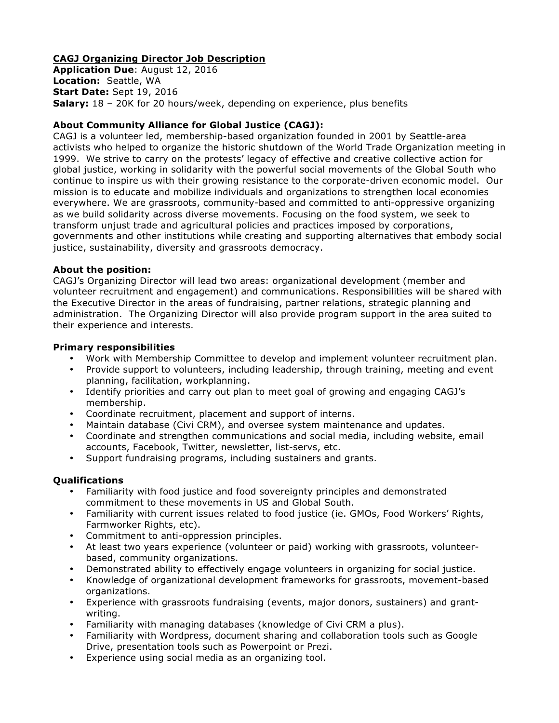# **CAGJ Organizing Director Job Description**

**Application Due**: August 12, 2016 **Location:** Seattle, WA **Start Date:** Sept 19, 2016 **Salary:** 18 – 20K for 20 hours/week, depending on experience, plus benefits

## **About Community Alliance for Global Justice (CAGJ):**

CAGJ is a volunteer led, membership-based organization founded in 2001 by Seattle-area activists who helped to organize the historic shutdown of the World Trade Organization meeting in 1999. We strive to carry on the protests' legacy of effective and creative collective action for global justice, working in solidarity with the powerful social movements of the Global South who continue to inspire us with their growing resistance to the corporate-driven economic model. Our mission is to educate and mobilize individuals and organizations to strengthen local economies everywhere. We are grassroots, community-based and committed to anti-oppressive organizing as we build solidarity across diverse movements. Focusing on the food system, we seek to transform unjust trade and agricultural policies and practices imposed by corporations, governments and other institutions while creating and supporting alternatives that embody social justice, sustainability, diversity and grassroots democracy.

### **About the position:**

CAGJ's Organizing Director will lead two areas: organizational development (member and volunteer recruitment and engagement) and communications. Responsibilities will be shared with the Executive Director in the areas of fundraising, partner relations, strategic planning and administration. The Organizing Director will also provide program support in the area suited to their experience and interests.

#### **Primary responsibilities**

- Work with Membership Committee to develop and implement volunteer recruitment plan.
- Provide support to volunteers, including leadership, through training, meeting and event planning, facilitation, workplanning.
- Identify priorities and carry out plan to meet goal of growing and engaging CAGJ's membership.
- Coordinate recruitment, placement and support of interns.
- Maintain database (Civi CRM), and oversee system maintenance and updates.
- Coordinate and strengthen communications and social media, including website, email accounts, Facebook, Twitter, newsletter, list-servs, etc.
- Support fundraising programs, including sustainers and grants.

### **Qualifications**

- Familiarity with food justice and food sovereignty principles and demonstrated commitment to these movements in US and Global South.
- Familiarity with current issues related to food justice (ie. GMOs, Food Workers' Rights, Farmworker Rights, etc).
- Commitment to anti-oppression principles.
- At least two years experience (volunteer or paid) working with grassroots, volunteerbased, community organizations.
- Demonstrated ability to effectively engage volunteers in organizing for social justice.
- Knowledge of organizational development frameworks for grassroots, movement-based organizations.
- Experience with grassroots fundraising (events, major donors, sustainers) and grantwriting.
- Familiarity with managing databases (knowledge of Civi CRM a plus).
- Familiarity with Wordpress, document sharing and collaboration tools such as Google Drive, presentation tools such as Powerpoint or Prezi.
- Experience using social media as an organizing tool.